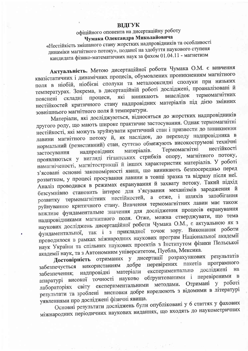## ВИГУК

офіційного опонента на дисертаційну роботу Чумака Олександра Миколайовича

«Нестійкість змішаного стану жорстких надпровідників та особливості динаміки магнітного потоку», поданої на здобуття наукового ступеня кандидата фізико-математичних наук за фахом 01.04.11 - магнетизм

Актуальність. Метою дисертаційної роботи Чумака О.М. є вивчення квазістатичних і динамічних процесів, обумовлених проникненням магнітного поля в ніобій, ніобієві сполуки та металооксидні сполуки при низьких температурах. Зокрема, в дисертаційній роботі досліджені, проаналізовані й термомагнітних процеси, які виникають внаслідок пояснені складні нестійкостей критичного стану надпровідних матеріалів під дією змінних зовнішнього магнітного поля й температури.

Матеріали, які досліджуються, відносяться до жорстких надпровідників другого роду, що мають широке практичне застосування. Однак термомагнітні нестійкості, які можуть зруйнувати критичний стан і призвести до виникнення лавини магнітного потоку й, як наслідок, до переходу надпровідника в нормальний (резистивний) стан, суттєво обмежують високострумові технічні нестійкості Термомагнітні матеріалів. надпровідних застосування проявляються у вигляді гігантських стрибків опору, магнітного потоку, намагніченості, магнітострикції й інших характеристик матеріалів. У роботі з'ясовані основні закономірності явищ, що виникають безпосередньо перед розвитком, у процесі просування лавини в товщі зразка та відразу після неї. Аналіз проводився в режимах екранування й захвату потоку. Такий підхід безсумнівно становить інтерес для з'ясування механізмів зародження й розвитку термомагнітних нестійкостей, а отже, і шляхів запобігання руйнуванню критичного стану. Вивчення термомагнітних лавин має також важливе фундаментальне значення для дослідження процесів екранування надпровідниками магнитного поля. Отже, можна стверджувати, що тема наукових досліджень дисертаційної роботи Чумака О.М., є актуальною як з фундаментальної, так і з прикладної точок зору. Виконання роботи проводилося в рамках міжнародних наукових програм Національної академії наук України та спільних наукових проектів з Інститутом фізики Польської академії наук, та з Автономним університетом, Пуебла, Мексика.

Достовірність отриманих у дисертації розрахункових результатів перевірених пакетів програмного використанням добре забезпечується досліджені експериментально на матеріали надпровідні забезпечення; апаратурі високої точності науково обгрунтованими і перевіреними  $\overline{B}$ лабораторіях світу експериментальними методами. Отримані у роботі результати та зроблені висновки добре корелюють з відомими в літературі уявленнями про досліджені фізичні явища.

Основні результати досліджень були опубліковані у 6 статтях у фахових міжнародних періодичних наукових виданнях, що входять до наукометричних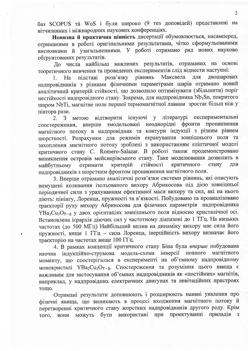баз SCOPUS та WoS і були широко (9 тез доповідей) представлені на вітчизняних і міжнародних наукових конференціях.

Новизна й практична цінність дисертації обумовлюється, насамперед, отриманими в роботі оригінальними результатами, чітко сформульованими висновками й узагальненнями. У роботі отримано ряд нових науково обтрунтованих результатів.

До числа найбільш важливих результатів, отриманих на основі теоретичного вивчення та проведених експериментів слід віднести наступні:

розв'язку рівнянь Максвела лвошарових пілставі лля  $Ha$  $\mathbf{1}$ надпровідників з різними фізичними параметрами шарів отримано новий аналітичний критерій стійкості, що дозволило оптимізувати (збільшити) поріг нестійкості надпровідного стану. Зокрема, для надпровідника Nb<sub>3</sub>Sn, покритого шаром NbTi, магнітне поле першої термомагнітної лавини зростає більш ніж у півтора рази.

відтворити існуючі у літературі експериментальні метою  $2.$  $\mathcal{B}$ змодельовані неоднорідні фронти проникнення вперше спостереження, магнітного потоку в надпровідник та контури індукції з різним рівнем шорсткості. Розрахунки для режимів екранування зовнішнього поля та захоплення магнітного потоку зроблені з використанням еліптичної моделі критичного стану С. Romero-Salazar. В роботі також продемонстровано виникнення островів мейснерівського стану. Таке моделювання дозволить в стійкості критичного стану отримати критерій лля майбутньому надпровідників з шорстким фронтом проникнення магнітного поля.

3. Вперше отримано аналітичні розв'язки системи рівнянь, які описують вимущені коливання ізольованого вихору Абрикосова під дією зовнішньої періодичної сили з урахуванням ефективної маси вихору та сил, які на нього діють: пінінгу, Лоренца, пружності та в'язкості. Побудовано та проаналізовано траєкторії руху вихору Абрикосова для фізичних параметрів надпровідника YBa<sub>2</sub>Cu<sub>3</sub>O<sub>7-8</sub> у двох орієнтаціях зовнішнього поля відносно кристалічної осі. Встановлена ієрархія діючих сил у частотному діапазоні до 1 ТГц. На низьких частотах (до 500 МГц) Найбільший вплив на динаміку вихору має сила його пружності, вище 1 ГГц - сила Лоренца, інерційність вихору визначає його траєкторію на частотах вище 100 ГГц.

4. В рамках концепції критичного стану Біна була вперше побудована наочна індукційно-струмова модель-схема інверсії повного магнітного моменту, що спостерігалася в експерименті на об'ємному надпровідному монокристалі YBa<sub>2</sub>Cu<sub>3</sub>O<sub>7-8</sub>. Спостереження та розуміння цього явища є важливим для застосування об'ємних надпровідників як «постійних» магнітів, наприклад, у надпровідних електричних двигунах та левітаційних пристроях тощо.

Отримані результати доповнюють і розширюють наявні уявлення про фізичні явища, що виникають в процесі входження магнітного потоку й перетворенні критичного стану жорстких надпровідників другого роду. Крім вони можуть бути використані при проектуванні приладів з TOTO.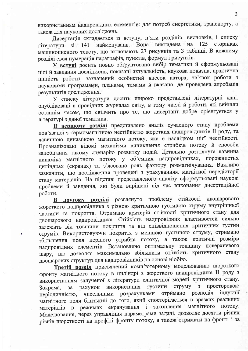використанням надпровідних елементів: для потреб енергетики, транспорту, а також для наукових досліджень.

Дисертація складається із вступу, п'яти розділів, висновків, і списку зі 141 найменувань. Вона викладена на 125 сторінках літератури машинописного тексту, що включають 27 рисунків та 3 таблиці. В кожному розділі своя нумерація параграфів, пунктів, формул і рисунків.

У вступі досить повно обтрунтовано вибір тематики й сформульовані цілі й завдання досліджень, показані актуальність, наукова новизна, практична цінність роботи, зазначений особистий внесок автора, зв'язок роботи з науковими програмами, планами, темами й вказано, де проведена апробація результатів дослідження.

У списку літератури досить широко представлені літературні дані, опубліковані в провідних журналах світу, в тому числі й роботи, які вийшли останнім часом, що свідчить про те, що дисертант добре орієнтується у літературі з даної тематики.

В першому розділі представлено аналіз сучасного стану проблеми пов'язаної з термомагнітною нестійкістю жорстких надпровідників II роду, та лавинною динамікою магнітного потоку, яка є наслідком цієї нестійкості. Проаналізовані відомі механізми виникнення стрибків потоку й способи запобігання такому сценарію розвитку подій. Детально розглянута лавинна динаміка магнітного потоку у об'ємних надпровідниках, порожнистих циліндрах (екранах) та з'ясовано роль фактору розмагнічування. Важливо зазначити, що дослідження проведені з урахуванням магнітної передісторії стану матеріалів. На підставі представленого аналізу сформульовані наукові проблеми й завдання, які були вирішені під час виконання дисертаційної роботи.

В другому розділі розглянуто проблему стійкості двошарового жорсткого надпровідника з різною критичною густиною струму внутрішньої частини та покриття. Отримано критерій стійкості критичного стану для двошарового надпровідника. Стійкість надпровідних властивостей сильно залежить від товщини покриття та від співвідношення критичних густин струмів. Використовуючи покриття з меншою густиною струму, отримано збільшення поля першого стрибка потоку, а також критичні розміри надпровідних елементів. Встановлено оптимальну товщину поверхневого шару, що дозволяє максимально збільшити стійкість критичного стану двошарових структур для надпровідників на основі ніобію.

Третій розділ присвячений комп'ютерному моделюванню шорсткого фронту магнітного потоку в циліндрі з жорсткого надпровідника II роду з використанням залученої з літератури еліптичної моделі критичного стану. рахунок використання густини струму з просторовою  $3a$ Зокрема, періодичністю, чисельними розрахунками отримано розподіл індукції магнітного поля близький до того, який спостерігається в зразках реальних матеріалів в режимах екранування і захоплення магнітного потоку. Моделювання, через управління параметрами задачі, дозволяє досягти різних рівнів шорсткості на профілі фронту потоку, а також отримати на фронті і за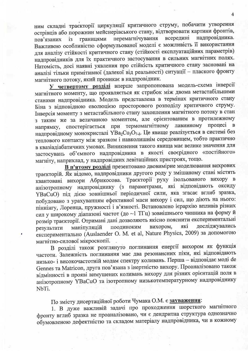ним складні траєкторії циркуляції критичного струму, побачити утворення острівців або порожнин мейснерівського стану, відтворювати картини фронтів, всередині перемагнічування надпровідника. границями пов'язаних  $i<sub>3</sub>$ Важливою особливістю сформульованої моделі є можливість її використання для аналізу стійкості критичного стану (стійкості експлуатаційних параметрів) надпровідників для їх практичного застосування в сильних магнітних полях. Натомість, досі наявні уявлення про стійкість критичного стану засновані на аналізі тільки примітивної (далекої від реальності) ситуації - плаского фронту магнітного потоку, який проникає в надпровідник.

У четвертому розділі вперше запропонована модель-схема інверсії магнітного моменту, що проявляється як стрибок між двома метастабільними станами надпровідника. Модель представлена в термінах критичного стану Біна з відповідною еволюцією просторового розподілу критичного струму. Інверсія моменту з метастабільного стану захоплення магнітного потоку в стан з таким же за величиною моментом, але орієнтованим в протилежному напрямку, спостерігається при термомагнітному процесі в лавинному надпровідному монокристалі YBa<sub>2</sub>Cu<sub>3</sub>O<sub>7-8</sub>. Це явище реалізується в системі без теплового контакту між зразком і навколишнім середовищем, тобто практично в квазіадіабатичних умовах. Виникнення такого явища має велике значення для застосувань об'ємного надпровідника в якості своєрідного «постійного» магніту, наприклад, у надпровідних левітаційних пристроях, тощо.

В п'ятому розділі презентовано двовимірне моделювання вихрових траєкторій. Як відомо, надпровідники другого роду у змішаному стані містять квантовані вихори Абрикосова. Траєкторії руху ізольованого вихору в анізотропному надпровіднику (з параметрами, які відповідають оксиду YBaCuO) під дією зовнішньої періодичної сили, яка згасає вглиб зразка, побудовано з урахуванням ефективної маси вихору і сил, що діють на нього: піннінгу, Лоренца, пружності і в'язкості. Встановлено ієрархію впливів різних сил у широкому діапазоні частот (до ~1 ТГц) зовнішнього чинника на форму й розмір траєкторії. Отримані дані дозволяють якісно пояснити експериментальні досліджувались поодиноким які вихором, маніпуляцій результати експериментально (Auslaender O. M. et al, Nature Physics, 2009) за допомогою магнітно-силової мікроскопії.

В розділі також розглянуто поглинання енергії вихором як функція частоти. Залежність поглинання має два резонансних піки, які відповідають низько- і високочастотній модам спектру коливань. Перша - відповідає моді de Gennes та Matricon, друга пов'язана з інертністю вихору. Проаналізовано також відмінності в прояві вимушених коливань вихору для різних орієнтацій поля в анізотропному YBaCuO та ізотропному низькотемпературному надпровіднику NbTi.

По змісту дисертаційної роботи Чумака О.М. є зауваження:

1. В дуже важливій задачі про проходження шорсткого магнітного фронту вглиб зразка не проаналізовано, чи є дендритна структура однозначно обумовленою дефектністю та складом матеріалу надпровідника, чи в кожному